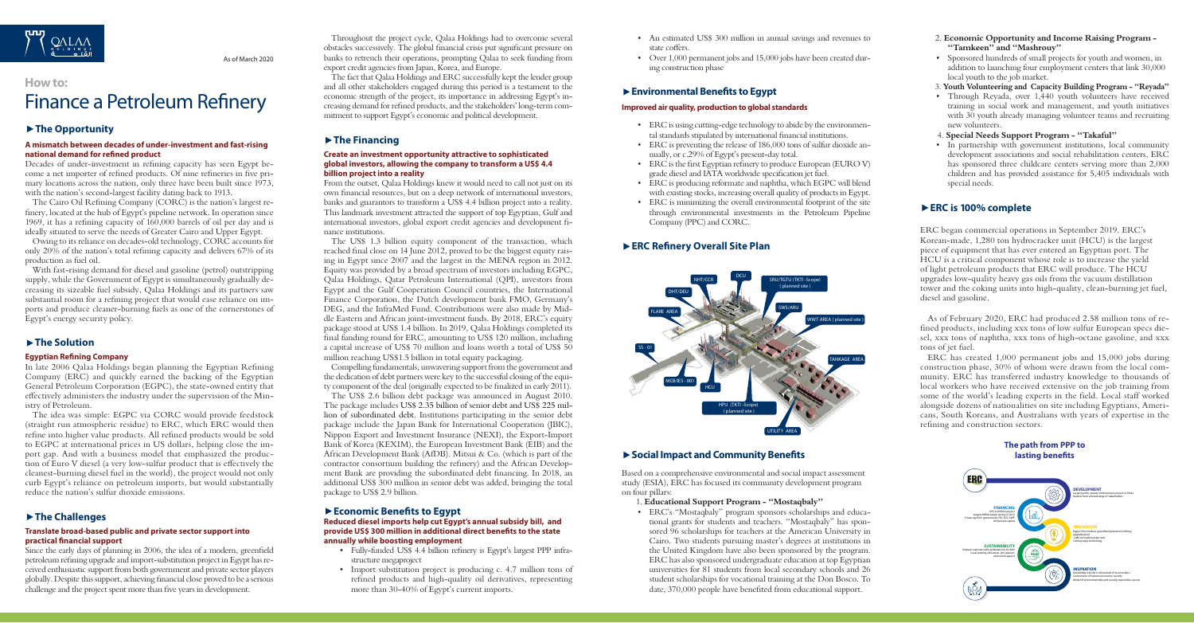# **Social Impact and Community Benefits**

Based on a comprehensive environmental and social impact assessment study (ESIA), ERC has focused its community development program on four pillars:

- 1. **Educational Support Program "Mostaqbaly"**
- ERC's "Mostaqbaly" program sponsors scholarships and educational grants for students and teachers. "Mostaqbaly" has sponsored 96 scholarships for teachers at the American University in Cairo. Two students pursuing master's degrees at institutions in the United Kingdom have also been sponsored by the program. ERC has also sponsored undergraduate education at top Egyptian universities for 81 students from local secondary schools and 26 student scholarships for vocational training at the Don Bosco. To date, 370,000 people have benefited from educational support.

Throughout the project cycle, Qalaa Holdings had to overcome several obstacles successively. The global financial crisis put significant pressure on banks to retrench their operations, prompting Qalaa to seek funding from export credit agencies from Japan, Korea, and Europe.

The fact that Qalaa Holdings and ERC successfully kept the lender group and all other stakeholders engaged during this period is a testament to the economic strength of the project, its importance in addressing Egypt's increasing demand for refined products, and the stakeholders' long-term commitment to support Egypt's economic and political development.

### **The Financing**

### **Create an investment opportunity attractive to sophisticated global investors, allowing the company to transform a US\$ 4.4 billion project into a reality**

From the outset, Qalaa Holdings knew it would need to call not just on its own financial resources, but on a deep network of international investors, banks and guarantors to transform a US\$ 4.4 billion project into a reality. This landmark investment attracted the support of top Egyptian, Gulf and international investors, global export credit agencies and development finance institutions.

The US\$ 1.3 billion equity component of the transaction, which reached final close on 14 June 2012, proved to be the biggest equity raising in Egypt since 2007 and the largest in the MENA region in 2012. Equity was provided by a broad spectrum of investors including EGPC, Qalaa Holdings, Qatar Petroleum International (QPI), investors from Egypt and the Gulf Cooperation Council countries, the International Finance Corporation, the Dutch development bank FMO, Germany's DEG, and the InfraMed Fund. Contributions were also made by Middle Eastern and African joint-investment funds. By 2018, ERC's equity package stood at US\$ 1.4 billion. In 2019, Qalaa Holdings completed its final funding round for ERC, amounting to US\$ 120 million, including a capital increase of US\$ 70 million and loans worth a total of US\$ 50 million reaching US\$1.5 billion in total equity packaging.

Compelling fundamentals, unwavering support from the government and the dedication of debt partners were key to the successful closing of the equity component of the deal (originally expected to be finalized in early 2011).

The US\$ 2.6 billion debt package was announced in August 2010. The package includes US\$ 2.35 billion of senior debt and US\$ 225 million of subordinated debt. Institutions participating in the senior debt package include the Japan Bank for International Cooperation (JBIC), Nippon Export and Investment Insurance (NEXI), the Export-Import Bank of Korea (KEXIM), the European Investment Bank (EIB) and the African Development Bank (AfDB). Mitsui & Co. (which is part of the contractor consortium building the refinery) and the African Development Bank are providing the subordinated debt financing. In 2018, an additional US\$ 300 million in senior debt was added, bringing the total package to US\$ 2.9 billion.

# **Economic Benefits to Egypt**

### **Reduced diesel imports help cut Egypt's annual subsidy bill, and provide US\$ 300 million in additional direct benefits to the state annually while boosting employment**

- Fully-funded US\$ 4.4 billion refinery is Egypt's largest PPP infrastructure megaproject
- Import substitution project is producing c. 4.7 million tons of refined products and high-quality oil derivatives, representing more than 30-40% of Egypt's current imports.
- An estimated US\$ 300 million in annual savings and revenues to state coffers.
- Over 1,000 permanent jobs and 15,000 jobs have been created during construction phase

# **Environmental Benefits to Egypt**

### **Improved air quality, production to global standards**

- ERC is using cutting-edge technology to abide by the environmental standards stipulated by international financial institutions.
- ERC is preventing the release of 186,000 tons of sulfur dioxide annually, or c.29% of Egypt's present-day total.
- ERC is the first Egyptian refinery to produce European (EURO V) grade diesel and IATA worldwide specification jet fuel.
- ERC is producing reformate and naphtha, which EGPC will blend with existing stocks, increasing overall quality of products in Egypt.
- ERC is minimizing the overall environmental footprint of the site through environmental investments in the Petroleum Pipeline Company (PPC) and CORC.

# **ERC Refinery Overall Site Plan**

# **How to:**

# Finance a Petroleum Refinery

# **The Opportunity**

# **A mismatch between decades of under-investment and fast-rising national demand for refined product**

Decades of under-investment in refining capacity has seen Egypt become a net importer of refined products. Of nine refineries in five primary locations across the nation, only three have been built since 1973, with the nation's second-largest facility dating back to 1913.

The Cairo Oil Refining Company (CORC) is the nation's largest refinery, located at the hub of Egypt's pipeline network. In operation since 1969, it has a refining capacity of 160,000 barrels of oil per day and is ideally situated to serve the needs of Greater Cairo and Upper Egypt.

Owing to its reliance on decades-old technology, CORC accounts for only 20% of the nation's total refining capacity and delivers 67% of its production as fuel oil.

With fast-rising demand for diesel and gasoline (petrol) outstripping supply, while the Government of Egypt is simultaneously gradually decreasing its sizeable fuel subsidy, Qalaa Holdings and its partners saw substantial room for a refining project that would ease reliance on imports and produce cleaner-burning fuels as one of the cornerstones of Egypt's energy security policy.

### ▶ The Solution

### **Egyptian Refining Company**

In late 2006 Qalaa Holdings began planning the Egyptian Refining Company (ERC) and quickly earned the backing of the Egyptian General Petroleum Corporation (EGPC), the state-owned entity that effectively administers the industry under the supervision of the Ministry of Petroleum.

The idea was simple: EGPC via CORC would provide feedstock (straight run atmospheric residue) to ERC, which ERC would then refine into higher value products. All refined products would be sold to EGPC at international prices in US dollars, helping close the import gap. And with a business model that emphasized the production of Euro V diesel (a very low-sulfur product that is effectively the cleanest-burning diesel fuel in the world), the project would not only curb Egypt's reliance on petroleum imports, but would substantially reduce the nation's sulfur dioxide emissions.

# **The Challenges**

### **Translate broad-based public and private sector support into practical financial support**

Since the early days of planning in 2006, the idea of a modern, greenfield petroleum refining upgrade and import-substitution project in Egypt has received enthusiastic support from both government and private sector players globally. Despite this support, achieving financial close proved to be a serious challenge and the project spent more than five years in development.

- 2. **Economic Opportunity and Income Raising Program "Tamkeen" and "Mashrouy"**
- Sponsored hundreds of small projects for youth and women, in addition to launching four employment centers that link 30,000 local youth to the job market.
- 3. **Youth Volunteering and Capacity Building Program "Reyada"**
- Through Reyada, over 1,440 youth volunteers have received training in social work and management, and youth initiatives with 30 youth already managing volunteer teams and recruiting new volunteers.
- 4. **Special Needs Support Program "Takaful"**
- In partnership with government institutions, local community development associations and social rehabilitation centers, ERC has sponsored three childcare centers serving more than 2,000 children and has provided assistance for 5,405 individuals with special needs.

# **ERC is 100% complete**

ERC began commercial operations in September 2019. ERC's Korean-made, 1,280 ton hydrocracker unit (HCU) is the largest piece of equipment that has ever entered an Egyptian port. The HCU is a critical component whose role is to increase the yield of light petroleum products that ERC will produce. The HCU upgrades low-quality heavy gas oils from the vacuum distillation tower and the coking units into high-quality, clean-burning jet fuel, diesel and gasoline.

As of February 2020, ERC had produced 2.58 million tons of refined products, including xxx tons of low sulfur European specs diesel, xxx tons of naphtha, xxx tons of high-octane gasoline, and xxx tons of jet fuel.

ERC has created 1,000 permanent jobs and 15,000 jobs during construction phase, 30% of whom were drawn from the local community. ERC has transferred industry knowledge to thousands of local workers who have received extensive on the job training from some of the world's leading experts in the field. Local staff worked alongside dozens of nationalities on site including Egyptians, Americans, South Koreans, and Australians with years of expertise in the refining and construction sectors.





**The path from PPP to lasting benefits**